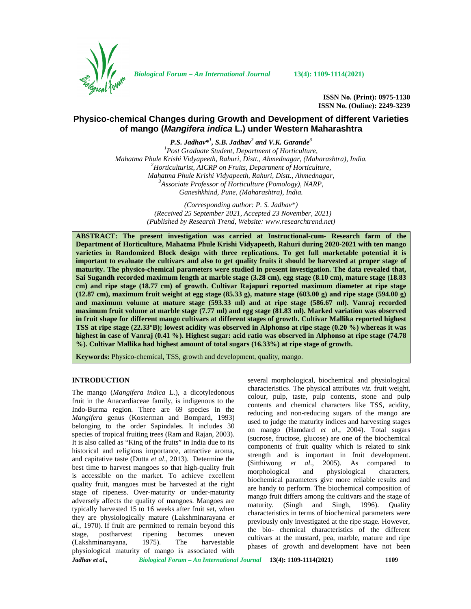

*Biological Forum – An International Journal* **13(4): 1109-1114(2021)**

**ISSN No. (Print): 0975-1130 ISSN No. (Online): 2249-3239**

# **Physico-chemical Changes during Growth and Development of different Varieties of mango (***Mangifera indica* **L.) under Western Maharashtra**

*P.S. Jadhav\* 1 , S.B. Jadhav<sup>2</sup> and V.K. Garande<sup>3</sup>*

*<sup>1</sup>Post Graduate Student, Department of Horticulture, Mahatma Phule Krishi Vidyapeeth, Rahuri, Distt., Ahmednagar, (Maharashtra), India. <sup>2</sup>Horticulturist, AICRP on Fruits, Department of Horticulture, Mahatma Phule Krishi Vidyapeeth, Rahuri, Distt., Ahmednagar, <sup>3</sup>Associate Professor of Horticulture (Pomology), NARP, Ganeshkhind, Pune, (Maharashtra), India.*

> *(Corresponding author: P. S. Jadhav\*) (Received 25 September 2021, Accepted 23 November, 2021) (Published by Research Trend, Website: [www.researchtrend.net\)](www.researchtrend.net)*

**ABSTRACT: The present investigation was carried at Instructional-cum- Research farm of the Department of Horticulture, Mahatma Phule Krishi Vidyapeeth, Rahuri during 2020-2021 with ten mango varieties in Randomized Block design with three replications. To get full marketable potential it is important to evaluate the cultivars and also to get quality fruits it should be harvested at proper stage of maturity. The physico-chemical parameters were studied in present investigation. The data revealed that, Sai Sugandh recorded maximum length at marble stage (3.28 cm), egg stage (8.10 cm), mature stage (18.83 cm) and ripe stage (18.77 cm) of growth. Cultivar Rajapuri reported maximum diameter at ripe stage (12.87 cm), maximum fruit weight at egg stage (85.33 g), mature stage (603.00 g) and ripe stage (594.00 g) and maximum volume at mature stage (593.33 ml) and at ripe stage (586.67 ml). Vanraj recorded maximum fruit volume at marble stage (7.77 ml) and egg stage (81.83 ml). Marked variation was observed in fruit shape for different mango cultivars at different stages of growth. Cultivar Mallika reported highest TSS at ripe stage (22.33°B); lowest acidity was observed in Alphonso at ripe stage (0.20 %) whereas it was highest in case of Vanraj (0.41 %). Highest sugar: acid ratio was observed in Alphonso at ripe stage (74.78 %). Cultivar Mallika had highest amount of total sugars (16.33%) at ripe stage of growth.**

**Keywords:** Physico-chemical, TSS, growth and development, quality, mango.

## **INTRODUCTION**

The mango (Mangifera indica L.), a dicotyledonous fruit in the Anacardiaceae family, is indigenous to the Indo-Burma region. There are 69 species in the *Mangifera* genus (Kosterman and Bompard, 1993) belonging to the order Sapindales. It includes 30 species of tropical fruiting trees (Ram and Rajan, 2003). It is also called as "King of the fruits" in India due to its historical and religious importance, attractive aroma, and capitative taste (Dutta *et al*., 2013). Determine the best time to harvest mangoes so that high-quality fruit morphological is accessible on the market. To achieve excellent quality fruit, mangoes must be harvested at the right stage of ripeness. Over-maturity or under-maturity adversely affects the quality of mangoes. Mangoes are typically harvested 15 to 16 weeks after fruit set, when they are physiologically mature (Lakshminarayana *et al.,* 1970). If fruit are permitted to remain beyond this stage, postharvest ripening becomes uneven (Lakshminarayana, 1975). The harvestable physiological maturity of mango is associated with

several morphological, biochemical and physiological characteristics. The physical attributes *viz.* fruit weight, colour, pulp, taste, pulp contents, stone and pulp contents and chemical characters like TSS, acidity, reducing and non-reducing sugars of the mango are used to judge the maturity indices and harvesting stages on mango (Hamdard *et al*., 2004). Total sugars (sucrose, fructose, glucose) are one of the biochemical components of fruit quality which is related to sink strength and is important in fruit development. (Sitthiwong *et al*., 2005). As compared to and physiological characters, biochemical parameters give more reliable results and are handy to perform. The biochemical composition of mango fruit differs among the cultivars and the stage of maturity. (Singh and Singh, 1996). Quality characteristics in terms of biochemical parameters were previously only investigated at the ripe stage. However, the bio- chemical characteristics of the different cultivars at the mustard, pea, marble, mature and ripe phases of growth and development have not been

*Jadhav et al., Biological Forum – An International Journal* **13(4): 1109-1114(2021) 1109**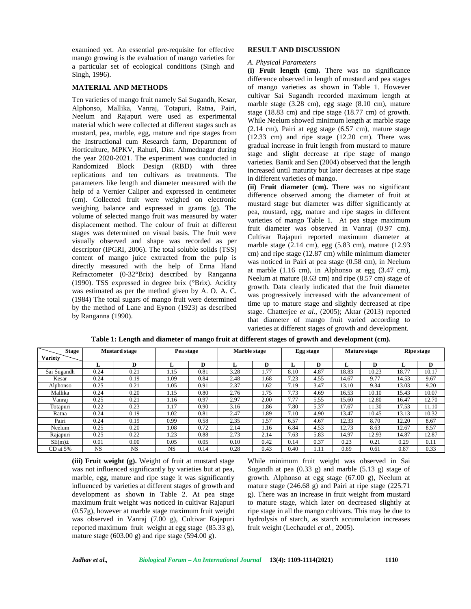examined yet. An essential pre-requisite for effective mango growing is the evaluation of mango varieties for a particular set of ecological conditions (Singh and Singh, 1996).

### **MATERIAL AND METHODS**

Ten varieties of mango fruit namely Sai Sugandh, Kesar, Alphonso, Mallika, Vanraj, Totapuri, Ratna, Pairi, Neelum and Rajapuri were used as experimental material which were collected at different stages such as mustard, pea, marble, egg, mature and ripe stages from the Instructional cum Research farm, Department of Horticulture, MPKV, Rahuri, Dist. Ahmednagar during the year 2020-2021. The experiment was conducted in Randomized Block Design (RBD) with three replications and ten cultivars as treatments. The parameters like length and diameter measured with the help of a Vernier Caliper and expressed in centimeter (cm). Collected fruit were weighed on electronic weighing balance and expressed in grams (g). The volume of selected mango fruit was measured by water displacement method. The colour of fruit at different stages was determined on visual basis. The fruit were visually observed and shape was recorded as per descriptor (IPGRI, 2006). The total soluble solids (TSS) content of mango juice extracted from the pulp is directly measured with the help of Erma Hand Refractometer (0-32°Brix) described by Ranganna (1990). TSS expressed in degree brix (°Brix). Acidity was estimated as per the method given by A. O. A. C. (1984) The total sugars of mango fruit were determined by the method of Lane and Eynon (1923) as described by Ranganna (1990).

## **RESULT AND DISCUSSION**

### *A. Physical Parameters*

**(i) Fruit length (cm).** There was no significance difference observed in length of mustard and pea stages of mango varieties as shown in Table 1. However cultivar Sai Sugandh recorded maximum length at marble stage (3.28 cm), egg stage (8.10 cm), mature stage (18.83 cm) and ripe stage (18.77 cm) of growth. While Neelum showed minimum length at marble stage (2.14 cm), Pairi at egg stage (6.57 cm), mature stage (12.33 cm) and ripe stage (12.20 cm). There was gradual increase in fruit length from mustard to mature stage and slight decrease at ripe stage of mango varieties. Banik and Sen (2004) observed that the length increased until maturity but later decreases at ripe stage in different varieties of mango.

**(ii) Fruit diameter (cm).** There was no significant difference observed among the diameter of fruit at mustard stage but diameter was differ significantly at pea, mustard, egg, mature and ripe stages in different varieties of mango Table 1. At pea stage maximum fruit diameter was observed in Vanraj (0.97 cm). Cultivar Rajapuri reported maximum diameter at marble stage (2.14 cm), egg (5.83 cm), mature (12.93 cm) and ripe stage (12.87 cm) while minimum diameter was noticed in Pairi at pea stage (0.58 cm), in Neelum at marble  $(1.16 \text{ cm})$ , in Alphonso at egg  $(3.47 \text{ cm})$ , Neelum at mature (8.63 cm) and ripe (8.57 cm) stage of growth. Data clearly indicated that the fruit diameter was progressively increased with the advancement of time up to mature stage and slightly decreased at ripe stage. Chatterjee *et al*., (2005); Aktar (2013) reported that diameter of mango fruit varied according to varieties at different stages of growth and development.

| <b>Stage</b>   | <b>Mustard stage</b> |           | Pea stage |      | Marble stage |      | Egg stage |      | Mature stage |       | <b>Ripe stage</b> |       |
|----------------|----------------------|-----------|-----------|------|--------------|------|-----------|------|--------------|-------|-------------------|-------|
| <b>Variety</b> |                      |           |           |      |              |      |           |      |              |       |                   |       |
|                | п.                   | D         | .,        | D    |              | D    |           | D    |              | D     |                   | D     |
| Sai Sugandh    | 0.24                 | 0.21      | 1.15      | 0.81 | 3.28         | 1.77 | 8.10      | 4.87 | 18.83        | 10.23 | 18.77             | 10.17 |
| Kesar          | 0.24                 | 0.19      | 1.09      | 0.84 | 2.48         | 1.68 | 7.23      | 4.55 | 14.67        | 9.77  | 14.53             | 9.67  |
| Alphonso       | 0.25                 | 0.21      | 1.05      | 0.91 | 2.37         | 1.62 | 7.19      | 3.47 | 13.10        | 9.34  | 13.03             | 9.20  |
| Mallika        | 0.24                 | 0.20      | 1.15      | 0.80 | 2.76         | 1.75 | 7.73      | 4.69 | 16.53        | 10.10 | 15.43             | 10.07 |
| Vanraj         | 0.25                 | 0.21      | 1.16      | 0.97 | 2.97         | 2.00 | 7.77      | 5.55 | 15.60        | 12.80 | 16.47             | 12.70 |
| Totapuri       | 0.22                 | 0.23      | 1.17      | 0.90 | 3.16         | 1.86 | 7.80      | 5.37 | 17.67        | 11.30 | 17.53             | 11.10 |
| Ratna          | 0.24                 | 0.19      | 1.02      | 0.81 | 2.47         | 1.89 | 7.10      | 4.90 | 13.47        | 10.45 | 13.13             | 10.32 |
| Pairi          | 0.24                 | 0.19      | 0.99      | 0.58 | 2.35         | 1.57 | 6.57      | 4.67 | 12.33        | 8.70  | 12.20             | 8.67  |
| Neelum         | 0.25                 | 0.20      | 1.08      | 0.72 | 2.14         | 1.16 | 6.84      | 4.53 | 12.73        | 8.63  | 12.67             | 8.57  |
| Rajapuri       | 0.25                 | 0.22      | 1.23      | 0.88 | 2.73         | 2.14 | 7.63      | 5.83 | 14.97        | 12.93 | 14.87             | 12.87 |
| $SE(m)$ ±      | 0.01                 | 0.00      | 0.05      | 0.05 | 0.10         | 0.42 | 0.14      | 0.37 | 0.23         | 0.21  | 0.29              | 0.11  |
| $CD$ at 5%     | <b>NS</b>            | <b>NS</b> | <b>NS</b> | 0.14 | 0.28         | 0.43 | 0.40      | 1.11 | 0.69         | 0.61  | 0.87              | 0.33  |

**Table 1: Length and diameter of mango fruit at different stages of growth and development (cm).**

**(iii) Fruit weight (g).** Weight of fruit at mustard stage was not influenced significantly by varieties but at pea, marble, egg, mature and ripe stage it was significantly influenced by varieties at different stages of growth and development as shown in Table 2. At pea stage maximum fruit weight was noticed in cultivar Rajapuri (0.57g), however at marble stage maximum fruit weight was observed in Vanraj (7.00 g), Cultivar Rajapuri reported maximum fruit weight at egg stage (85.33 g), mature stage  $(603.00 \text{ g})$  and ripe stage  $(594.00 \text{ g})$ .

While minimum fruit weight was observed in Sai Sugandh at pea  $(0.33 \text{ g})$  and marble  $(5.13 \text{ g})$  stage of growth. Alphonso at egg stage (67.00 g), Neelum at mature stage (246.68 g) and Pairi at ripe stage (225.71 g). There was an increase in fruit weight from mustard to mature stage, which later on decreased slightly at ripe stage in all the mango cultivars. This may be due to hydrolysis of starch, as starch accumulation increases fruit weight (Lechaudel *et al.,* 2005).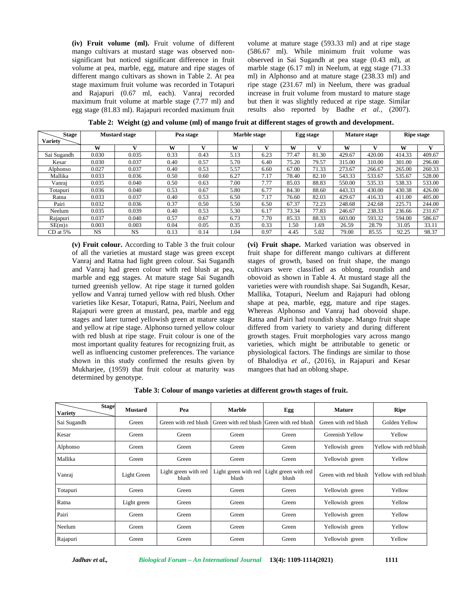**(iv) Fruit volume (ml).** Fruit volume of different mango cultivars at mustard stage was observed non significant but noticed significant difference in fruit volume at pea, marble, egg, mature and ripe stages of different mango cultivars as shown in Table 2. At pea stage maximum fruit volume was recorded in Totapuri and Rajapuri (0.67 ml, each). Vanraj recorded maximum fruit volume at marble stage (7.77 ml) and egg stage (81.83 ml). Rajapuri recorded maximum fruit

volume at mature stage (593.33 ml) and at ripe stage (586.67 ml). While minimum fruit volume was observed in Sai Sugandh at pea stage (0.43 ml), at marble stage (6.17 ml) in Neelum, at egg stage (71.33 ml) in Alphonso and at mature stage (238.33 ml) and ripe stage (231.67 ml) in Neelum, there was gradual increase in fruit volume from mustard to mature stage but then it was slightly reduced at ripe stage. Similar results also reported by Badhe *et al.,* (2007).

| <b>Stage</b><br><b>Variety</b> | <b>Mustard stage</b> |           | Pea stage |      | Marble stage |      | Egg stage |       | <b>Mature stage</b> |        | <b>Ripe stage</b> |        |
|--------------------------------|----------------------|-----------|-----------|------|--------------|------|-----------|-------|---------------------|--------|-------------------|--------|
|                                | W                    |           | W         |      | w            |      | W         |       | w                   |        | W                 |        |
| Sai Sugandh                    | 0.030                | 0.035     | 0.33      | 0.43 | 5.13         | 6.23 | 77.47     | 81.30 | 429.67              | 420.00 | 414.33            | 409.67 |
| Kesar                          | 0.030                | 0.037     | 0.40      | 0.57 | 5.70         | 6.40 | 75.20     | 79.57 | 315.00              | 310.00 | 301.00            | 296.00 |
| Alphonso                       | 0.027                | 0.037     | 0.40      | 0.53 | 5.57         | 6.60 | 67.00     | 71.33 | 273.67              | 266.67 | 265.00            | 260.33 |
| Mallika                        | 0.033                | 0.036     | 0.50      | 0.60 | 6.27         | 7.17 | 78.40     | 82.10 | 543.33              | 533.67 | 535.67            | 528.00 |
| Vanrai                         | 0.035                | 0.040     | 0.50      | 0.63 | 7.00         | 7.77 | 85.03     | 88.83 | 550.00              | 535.33 | 538.33            | 533.00 |
| Totapuri                       | 0.036                | 0.040     | 0.53      | 0.67 | 5.80         | 6.77 | 84.30     | 88.60 | 443.33              | 430.00 | 430.38            | 426.00 |
| Ratna                          | 0.033                | 0.037     | 0.40      | 0.53 | 6.50         | 7.17 | 76.60     | 82.03 | 429.67              | 416.33 | 411.00            | 405.00 |
| Pairi                          | 0.032                | 0.036     | 0.37      | 0.50 | 5.50         | 6.50 | 67.37     | 72.23 | 248.68              | 242.68 | 225.71            | 244.00 |
| Neelum                         | 0.035                | 0.039     | 0.40      | 0.53 | 5.30         | 6.17 | 73.34     | 77.83 | 246.67              | 238.33 | 236.66            | 231.67 |
| Rajapuri                       | 0.037                | 0.040     | 0.57      | 0.67 | 6.73         | 7.70 | 85.33     | 88.33 | 603.00              | 593.32 | 594.00            | 586.67 |
| $SE(m)$ ±                      | 0.003                | 0.003     | 0.04      | 0.05 | 0.35         | 0.33 | .50       | 1.69  | 26.59               | 28.79  | 31.05             | 33.11  |
| $CD$ at 5%                     | <b>NS</b>            | <b>NS</b> | 0.13      | 0.14 | 1.04         | 0.97 | 4.45      | 5.02  | 79.00               | 85.55  | 92.25             | 98.37  |

**Table 2: Weight (g) and volume (ml) of mango fruit at different stages of growth and development.**

**(v) Fruit colour.** According to Table 3 the fruit colour of all the varieties at mustard stage was green except Vanraj and Ratna had light green colour. Sai Sugandh and Vanraj had green colour with red blush at pea, marble and egg stages. At mature stage Sai Sugandh turned greenish yellow. At ripe stage it turned golden yellow and Vanraj turned yellow with red blush. Other varieties like Kesar, Totapuri, Ratna, Pairi, Neelum and Rajapuri were green at mustard, pea, marble and egg stages and later turned yellowish green at mature stage and yellow at ripe stage. Alphonso turned yellow colour with red blush at ripe stage. Fruit colour is one of the most important quality features for recognizing fruit, as well as influencing customer preferences. The variance shown in this study confirmed the results given by Mukharjee, (1959) that fruit colour at maturity was determined by genotype.

**(vi) Fruit shape.** Marked variation was observed in fruit shape for different mango cultivars at different stages of growth, based on fruit shape, the mango cultivars were classified as oblong, roundish and obovoid as shown in Table 4. At mustard stage all the varieties were with roundish shape. Sai Sugandh, Kesar, Mallika, Totapuri, Neelum and Rajapuri had oblong shape at pea, marble, egg, mature and ripe stages. Whereas Alphonso and Vanraj had obovoid shape. Ratna and Pairi had roundish shape. Mango fruit shape differed from variety to variety and during different growth stages. Fruit morphologies vary across mango varieties, which might be attributable to genetic or physiological factors. The findings are similar to those of Bhalodiya *et al.,* (2016), in Rajapuri and Kesar mangoes that had an oblong shape.

**Table 3: Colour of mango varieties at different growth stages of fruit.**

| <b>Stage</b><br><b>Variety</b> | <b>Mustard</b> | Pea                           | <b>Marble</b>                             | Egg                           | <b>Mature</b>        | Ripe                  |  |
|--------------------------------|----------------|-------------------------------|-------------------------------------------|-------------------------------|----------------------|-----------------------|--|
| Sai Sugandh                    | Green          | Green with red blush          | Green with red blush Green with red blush |                               | Green with red blush | Golden Yellow         |  |
| Kesar                          | Green          | Green                         | Green                                     | Green                         | Greenish Yellow      | Yellow                |  |
| Alphonso                       | Green          | Green                         | Green                                     | Green                         | Yellowish green      | Yellow with red blush |  |
| Mallika                        | Green          | Green                         | Green                                     | Green                         | Yellowish green      | Yellow                |  |
| Vanraj                         | Light Green    | Light green with red<br>blush | Light green with red<br>blush             | Light green with red<br>blush | Green with red blush | Yellow with red blush |  |
| Totapuri                       | Green          | Green                         | Green                                     | Green                         | Yellowish green      | Yellow                |  |
| Ratna                          | Light green    | Green                         | Green                                     | Green                         | Yellowish green      | Yellow                |  |
| Pairi                          | Green          | Green                         | Green                                     | Green                         | Yellowish green      | Yellow                |  |
| Neelum                         | Green          | Green                         | Green                                     | Green                         | Yellowish green      | Yellow                |  |
| Rajapuri                       | Green          | Green                         | Green                                     | Green                         | Yellowish green      | Yellow                |  |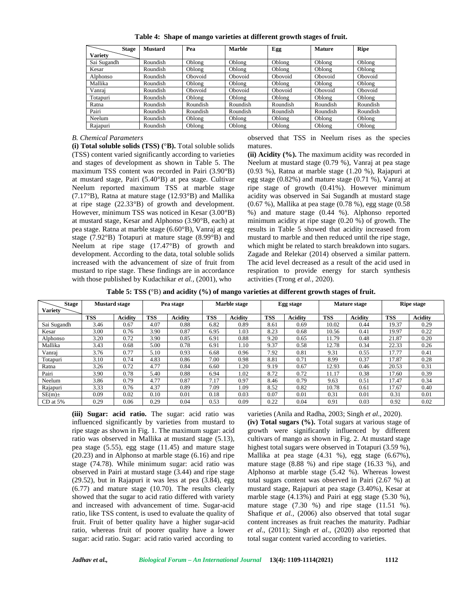|  | Table 4: Shape of mango varieties at different growth stages of fruit. |  |
|--|------------------------------------------------------------------------|--|
|  |                                                                        |  |

| <b>Stage</b>   | <b>Mustard</b> | Pea      | Marble   | Egg      | <b>Mature</b> | <b>Ripe</b> |
|----------------|----------------|----------|----------|----------|---------------|-------------|
| <b>Variety</b> |                |          |          |          |               |             |
| Sai Sugandh    | Roundish       | Oblong   | Oblong   | Oblong   | Oblong        | Oblong      |
| Kesar          | Roundish       | Oblong   | Oblong   | Oblong   | Oblong        | Oblong      |
| Alphonso       | Roundish       | Obovoid  | Obovoid  | Obovoid  | Obovoid       | Obovoid     |
| Mallika        | Roundish       | Oblong   | Oblong   | Oblong   | Oblong        | Oblong      |
| Vanrai         | Roundish       | Obovoid  | Obovoid  | Obovoid  | Obovoid       | Obovoid     |
| Totapuri       | Roundish       | Oblong   | Oblong   | Oblong   | Oblong        | Oblong      |
| Ratna          | Roundish       | Roundish | Roundish | Roundish | Roundish      | Roundish    |
| Pairi          | Roundish       | Roundish | Roundish | Roundish | Roundish      | Roundish    |
| Neelum         | Roundish       | Oblong   | Oblong   | Oblong   | Oblong        | Oblong      |
| Rajapuri       | Roundish       | Oblong   | Oblong   | Oblong   | Oblong        | Oblong      |

#### *B. Chemical Parameters*

**(i) Total soluble solids (TSS) (**°**B).** Total soluble solids (TSS) content varied significantly according to varieties and stages of development as shown in Table 5. The maximum TSS content was recorded in Pairi (3.90°B) at mustard stage, Pairi (5.40°B) at pea stage. Cultivar Neelum reported maximum TSS at marble stage (7.17°B), Ratna at mature stage (12.93°B) and Mallika at ripe stage (22.33°B) of growth and development. However, minimum TSS was noticed in Kesar (3.00°B) at mustard stage, Kesar and Alphonso (3.90°B, each) at pea stage. Ratna at marble stage (6.60°B), Vanraj at egg stage (7.92°B) Totapuri at mature stage (8.99°B) and Neelum at ripe stage (17.47°B) of growth and development. According to the data, total soluble solids increased with the advancement of size of fruit from mustard to ripe stage. These findings are in accordance with those published by Kudachikar *et al.,* (2001), who

observed that TSS in Neelum rises as the species matures.

**(ii) Acidity (%).** The maximum acidity was recorded in Neelum at mustard stage (0.79 %), Vanraj at pea stage (0.93 %), Ratna at marble stage (1.20 %), Rajapuri at egg stage (0.82%) and mature stage (0.71 %), Vanraj at ripe stage of growth (0.41%). However minimum acidity was observed in Sai Sugandh at mustard stage (0.67 %), Mallika at pea stage (0.78 %), egg stage (0.58 %) and mature stage (0.44 %). Alphonso reported minimum acidity at ripe stage (0.20 %) of growth. The results in Table 5 showed that acidity increased from mustard to marble and then reduced until the ripe stage, which might be related to starch breakdown into sugars. Zagade and Relekar (2014) observed a similar pattern. The acid level decreased as a result of the acid used in respiration to provide energy for starch synthesis activities (Trong *et al.,* 2020).

**Table 5: TSS (**°B) **and acidity (%) of mango varieties at different growth stages of fruit.**

| <b>Stage</b><br><b>Variety</b> | <b>Mustard stage</b> |                | Pea stage  |                |            | Marble stage   |            | Egg stage      |            | <b>Mature stage</b> |            | <b>Ripe stage</b> |  |
|--------------------------------|----------------------|----------------|------------|----------------|------------|----------------|------------|----------------|------------|---------------------|------------|-------------------|--|
|                                | TSS                  | <b>Acidity</b> | <b>TSS</b> | <b>Acidity</b> | <b>TSS</b> | <b>Acidity</b> | <b>TSS</b> | <b>Acidity</b> | <b>TSS</b> | <b>Acidity</b>      | <b>TSS</b> | <b>Acidity</b>    |  |
| Sai Sugandh                    | 3.46                 | 0.67           | 4.07       | 0.88           | 6.82       | 0.89           | 8.61       | 0.69           | 10.02      | 0.44                | 19.37      | 0.29              |  |
| Kesar                          | 3.00                 | 0.76           | 3.90       | 0.87           | 6.95       | 1.03           | 8.23       | 0.68           | 10.56      | 0.41                | 19.97      | 0.22              |  |
| Alphonso                       | 3.20                 | 0.72           | 3.90       | 0.85           | 6.91       | 0.88           | 9.20       | 0.65           | 11.79      | 0.48                | 21.87      | 0.20              |  |
| Mallika                        | 3.43                 | 0.68           | 5.00       | 0.78           | 6.91       | 1.10           | 9.37       | 0.58           | 12.78      | 0.34                | 22.33      | 0.26              |  |
| Vanraj                         | 3.76                 | 0.77           | 5.10       | 0.93           | 6.68       | 0.96           | 7.92       | 0.81           | 9.31       | 0.55                | 17.77      | 0.41              |  |
| Totapuri                       | 3.10                 | 0.74           | 4.83       | 0.86           | 7.00       | 0.98           | 8.81       | 0.71           | 8.99       | 0.37                | 17.87      | 0.28              |  |
| Ratna                          | 3.26                 | 0.72           | 4.77       | 0.84           | 6.60       | 1.20           | 9.19       | 0.67           | 12.93      | 0.46                | 20.53      | 0.31              |  |
| Pairi                          | 3.90                 | 0.78           | 5.40       | 0.88           | 6.94       | 1.02           | 8.72       | 0.72           | 11.17      | 0.38                | 17.60      | 0.39              |  |
| Neelum                         | 3.86                 | 0.79           | 4.77       | 0.87           | 7.17       | 0.97           | 8.46       | 0.79           | 9.63       | 0.51                | 17.47      | 0.34              |  |
| Rajapuri                       | 3.33                 | 0.76           | 4.37       | 0.89           | 7.09       | .09            | 8.52       | 0.82           | 10.78      | 0.61                | 17.67      | 0.40              |  |
| $SE(m)$ ±                      | 0.09                 | 0.02           | 0.10       | 0.01           | 0.18       | 0.03           | 0.07       | 0.01           | 0.31       | 0.01                | 0.31       | 0.01              |  |
| $CD$ at 5%                     | 0.29                 | 0.06           | 0.29       | 0.04           | 0.53       | 0.09           | 0.22       | 0.04           | 0.91       | 0.03                | 0.92       | 0.02              |  |

**(iii) Sugar: acid ratio.** The sugar: acid ratio was influenced significantly by varieties from mustard to ripe stage as shown in Fig. 1. The maximum sugar: acid ratio was observed in Mallika at mustard stage (5.13), pea stage (5.55), egg stage (11.45) and mature stage (20.23) and in Alphonso at marble stage (6.16) and ripe stage (74.78). While minimum sugar: acid ratio was observed in Pairi at mustard stage (3.44) and ripe stage (29.52), but in Rajapuri it was less at pea (3.84), egg (6.77) and mature stage (10.70). The results clearly showed that the sugar to acid ratio differed with variety and increased with advancement of time. Sugar-acid ratio, like TSS content, is used to evaluate the quality of fruit. Fruit of better quality have a higher sugar-acid ratio, whereas fruit of poorer quality have a lower sugar: acid ratio. Sugar: acid ratio varied according to

varieties (Anila and Radha, 2003; Singh *et al*., 2020). **(iv) Total sugars (%).** Total sugars at various stage of growth were significantly influenced by different cultivars of mango as shown in Fig. 2. At mustard stage highest total sugars were observed in Totapuri (3.59 %), Mallika at pea stage (4.31 %), egg stage (6.67%), mature stage (8.88 %) and ripe stage (16.33 %), and Alphonso at marble stage (5.42 %). Whereas lowest total sugars content was observed in Pairi (2.67 %) at mustard stage, Rajapuri at pea stage (3.40%), Kesar at marble stage (4.13%) and Pairi at egg stage (5.30 %), mature stage  $(7.30 \%)$  and ripe stage  $(11.51 \%)$ . Shafique *et al.,* (2006) also observed that total sugar content increases as fruit reaches the maturity. Padhiar *et al*., (2011); Singh *et al*., (2020) also reported that total sugar content varied according to varieties.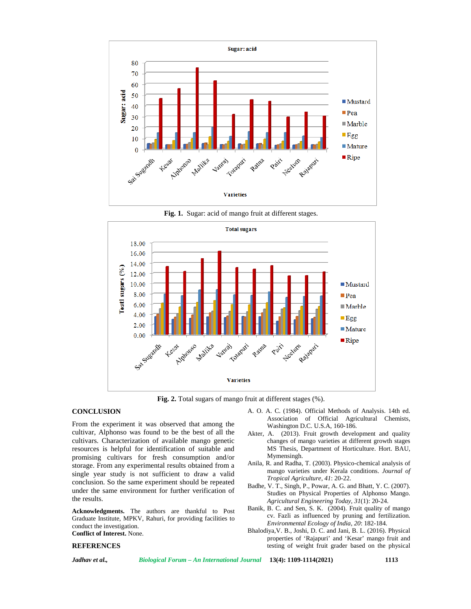

**Fig. 1.** Sugar: acid of mango fruit at different stages.



**Fig. 2.** Total sugars of mango fruit at different stages (%).

#### **CONCLUSION**

From the experiment it was observed that among the cultivar, Alphonso was found to be the best of all the cultivars. Characterization of available mango genetic resources is helpful for identification of suitable and promising cultivars for fresh consumption and/or storage. From any experimental results obtained from a single year study is not sufficient to draw a valid conclusion. So the same experiment should be repeated under the same environment for further verification of the results.

**Acknowledgments.** The authors are thankful to Post Graduate Institute, MPKV, Rahuri, for providing facilities to conduct the investigation. **Conflict of Interest.** None.

#### **REFERENCES**

A. O. A. C. (1984). Official Methods of Analysis. 14th ed. Association of Official Agricultural Chemists, Washington D.C. U.S.A, 160-186.

- Akter, A. (2013). Fruit growth development and quality changes of mango varieties at different growth stages MS Thesis, Department of Horticulture. Hort. BAU, Mymensingh.
- Anila, R. and Radha, T. (2003). Physico-chemical analysis of mango varieties under Kerala conditions. *Journal of Tropical Agriculture*, *41*: 20-22.
- Badhe, V. T., Singh, P., Powar, A. G. and Bhatt, Y. C. (2007). Studies on Physical Properties of Alphonso Mango. *Agricultural Engineering Today, 31*(1): 20-24.
- Banik, B. C. and Sen, S. K. (2004). Fruit quality of mango cv. Fazli as influenced by pruning and fertilization. *Environmental Ecology of India*, *20*: 182-184.
- Bhalodiya,V. B., Joshi, D. C. and Jani, B. L. (2016). Physical properties of 'Rajapuri' and 'Kesar' mango fruit and testing of weight fruit grader based on the physical

*Jadhav et al., Biological Forum – An International Journal* **13(4): 1109-1114(2021) 1113**